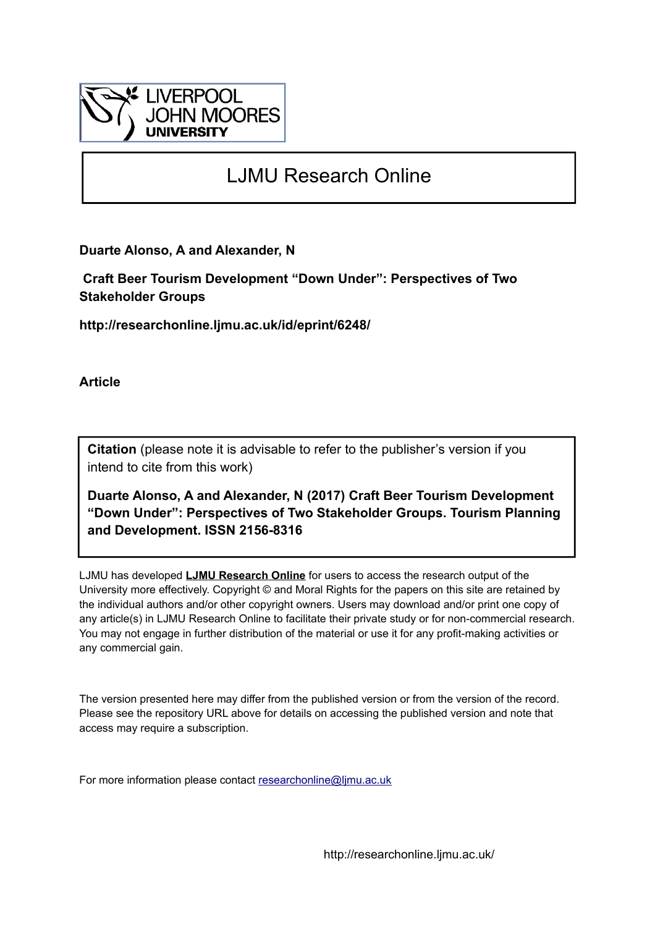

# LJMU Research Online

**Duarte Alonso, A and Alexander, N**

 **Craft Beer Tourism Development "Down Under": Perspectives of Two Stakeholder Groups**

**http://researchonline.ljmu.ac.uk/id/eprint/6248/**

**Article**

**Citation** (please note it is advisable to refer to the publisher's version if you intend to cite from this work)

**Duarte Alonso, A and Alexander, N (2017) Craft Beer Tourism Development "Down Under": Perspectives of Two Stakeholder Groups. Tourism Planning and Development. ISSN 2156-8316** 

LJMU has developed **[LJMU Research Online](http://researchonline.ljmu.ac.uk/)** for users to access the research output of the University more effectively. Copyright © and Moral Rights for the papers on this site are retained by the individual authors and/or other copyright owners. Users may download and/or print one copy of any article(s) in LJMU Research Online to facilitate their private study or for non-commercial research. You may not engage in further distribution of the material or use it for any profit-making activities or any commercial gain.

The version presented here may differ from the published version or from the version of the record. Please see the repository URL above for details on accessing the published version and note that access may require a subscription.

For more information please contact [researchonline@ljmu.ac.uk](mailto:researchonline@ljmu.ac.uk)

http://researchonline.ljmu.ac.uk/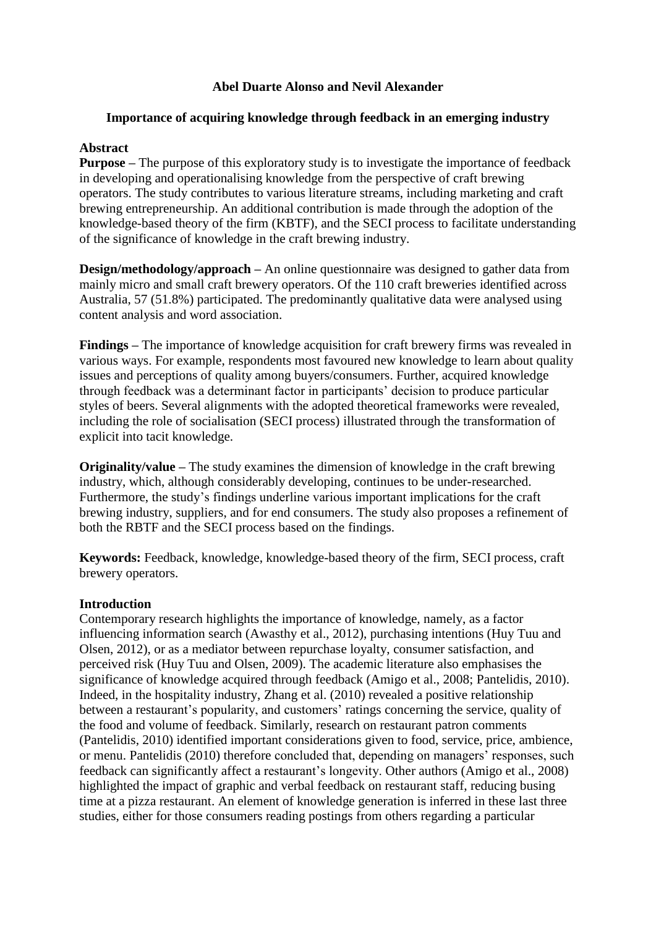# **Abel Duarte Alonso and Nevil Alexander**

# **Importance of acquiring knowledge through feedback in an emerging industry**

# **Abstract**

**Purpose** – The purpose of this exploratory study is to investigate the importance of feedback in developing and operationalising knowledge from the perspective of craft brewing operators. The study contributes to various literature streams, including marketing and craft brewing entrepreneurship. An additional contribution is made through the adoption of the knowledge-based theory of the firm (KBTF), and the SECI process to facilitate understanding of the significance of knowledge in the craft brewing industry.

**Design/methodology/approach** – An online questionnaire was designed to gather data from mainly micro and small craft brewery operators. Of the 110 craft breweries identified across Australia, 57 (51.8%) participated. The predominantly qualitative data were analysed using content analysis and word association.

**Findings –** The importance of knowledge acquisition for craft brewery firms was revealed in various ways. For example, respondents most favoured new knowledge to learn about quality issues and perceptions of quality among buyers/consumers. Further, acquired knowledge through feedback was a determinant factor in participants' decision to produce particular styles of beers. Several alignments with the adopted theoretical frameworks were revealed, including the role of socialisation (SECI process) illustrated through the transformation of explicit into tacit knowledge.

**Originality/value –** The study examines the dimension of knowledge in the craft brewing industry, which, although considerably developing, continues to be under-researched. Furthermore, the study's findings underline various important implications for the craft brewing industry, suppliers, and for end consumers. The study also proposes a refinement of both the RBTF and the SECI process based on the findings.

**Keywords:** Feedback, knowledge, knowledge-based theory of the firm, SECI process, craft brewery operators.

# **Introduction**

Contemporary research highlights the importance of knowledge, namely, as a factor influencing information search (Awasthy et al., 2012), purchasing intentions (Huy Tuu and Olsen, 2012), or as a mediator between repurchase loyalty, consumer satisfaction, and perceived risk (Huy Tuu and Olsen, 2009). The academic literature also emphasises the significance of knowledge acquired through feedback (Amigo et al., 2008; Pantelidis, 2010). Indeed, in the hospitality industry, Zhang et al. (2010) revealed a positive relationship between a restaurant's popularity, and customers' ratings concerning the service, quality of the food and volume of feedback. Similarly, research on restaurant patron comments (Pantelidis, 2010) identified important considerations given to food, service, price, ambience, or menu. Pantelidis (2010) therefore concluded that, depending on managers' responses, such feedback can significantly affect a restaurant's longevity. Other authors (Amigo et al., 2008) highlighted the impact of graphic and verbal feedback on restaurant staff, reducing busing time at a pizza restaurant. An element of knowledge generation is inferred in these last three studies, either for those consumers reading postings from others regarding a particular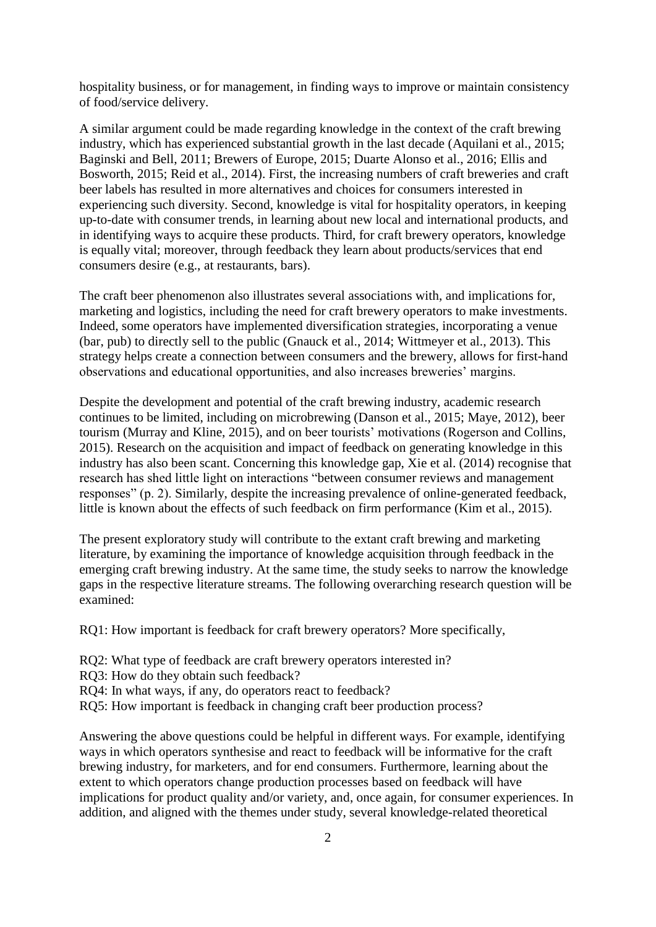hospitality business, or for management, in finding ways to improve or maintain consistency of food/service delivery.

A similar argument could be made regarding knowledge in the context of the craft brewing industry, which has experienced substantial growth in the last decade (Aquilani et al., 2015; Baginski and Bell, 2011; Brewers of Europe, 2015; Duarte Alonso et al., 2016; Ellis and Bosworth, 2015; Reid et al., 2014). First, the increasing numbers of craft breweries and craft beer labels has resulted in more alternatives and choices for consumers interested in experiencing such diversity. Second, knowledge is vital for hospitality operators, in keeping up-to-date with consumer trends, in learning about new local and international products, and in identifying ways to acquire these products. Third, for craft brewery operators, knowledge is equally vital; moreover, through feedback they learn about products/services that end consumers desire (e.g., at restaurants, bars).

The craft beer phenomenon also illustrates several associations with, and implications for, marketing and logistics, including the need for craft brewery operators to make investments. Indeed, some operators have implemented diversification strategies, incorporating a venue (bar, pub) to directly sell to the public (Gnauck et al., 2014; Wittmeyer et al., 2013). This strategy helps create a connection between consumers and the brewery, allows for first-hand observations and educational opportunities, and also increases breweries' margins.

Despite the development and potential of the craft brewing industry, academic research continues to be limited, including on microbrewing (Danson et al., 2015; Maye, 2012), beer tourism (Murray and Kline, 2015), and on beer tourists' motivations (Rogerson and Collins, 2015). Research on the acquisition and impact of feedback on generating knowledge in this industry has also been scant. Concerning this knowledge gap, Xie et al. (2014) recognise that research has shed little light on interactions "between consumer reviews and management responses" (p. 2). Similarly, despite the increasing prevalence of online-generated feedback, little is known about the effects of such feedback on firm performance (Kim et al., 2015).

The present exploratory study will contribute to the extant craft brewing and marketing literature, by examining the importance of knowledge acquisition through feedback in the emerging craft brewing industry. At the same time, the study seeks to narrow the knowledge gaps in the respective literature streams. The following overarching research question will be examined:

RQ1: How important is feedback for craft brewery operators? More specifically,

- RQ2: What type of feedback are craft brewery operators interested in?
- RQ3: How do they obtain such feedback?
- RQ4: In what ways, if any, do operators react to feedback?
- RQ5: How important is feedback in changing craft beer production process?

Answering the above questions could be helpful in different ways. For example, identifying ways in which operators synthesise and react to feedback will be informative for the craft brewing industry, for marketers, and for end consumers. Furthermore, learning about the extent to which operators change production processes based on feedback will have implications for product quality and/or variety, and, once again, for consumer experiences. In addition, and aligned with the themes under study, several knowledge-related theoretical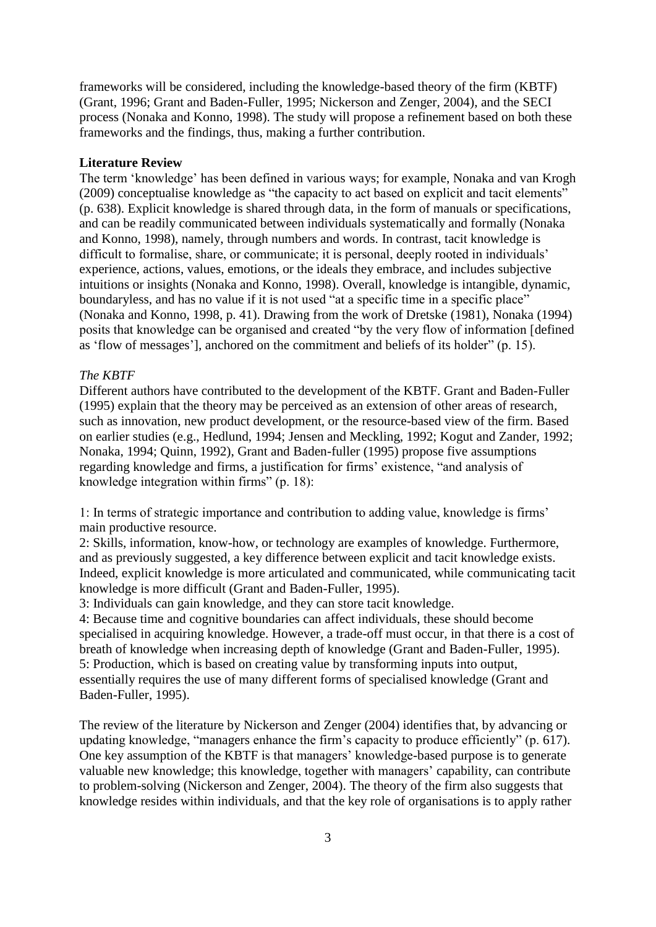frameworks will be considered, including the knowledge-based theory of the firm (KBTF) (Grant, 1996; Grant and Baden-Fuller, 1995; Nickerson and Zenger, 2004), and the SECI process (Nonaka and Konno, 1998). The study will propose a refinement based on both these frameworks and the findings, thus, making a further contribution.

# **Literature Review**

The term 'knowledge' has been defined in various ways; for example, Nonaka and van Krogh (2009) conceptualise knowledge as "the capacity to act based on explicit and tacit elements" (p. 638). Explicit knowledge is shared through data, in the form of manuals or specifications, and can be readily communicated between individuals systematically and formally (Nonaka and Konno, 1998), namely, through numbers and words. In contrast, tacit knowledge is difficult to formalise, share, or communicate; it is personal, deeply rooted in individuals' experience, actions, values, emotions, or the ideals they embrace, and includes subjective intuitions or insights (Nonaka and Konno, 1998). Overall, knowledge is intangible, dynamic, boundaryless, and has no value if it is not used "at a specific time in a specific place" (Nonaka and Konno, 1998, p. 41). Drawing from the work of Dretske (1981), Nonaka (1994) posits that knowledge can be organised and created "by the very flow of information [defined as 'flow of messages'], anchored on the commitment and beliefs of its holder" (p. 15).

## *The KBTF*

Different authors have contributed to the development of the KBTF. Grant and Baden-Fuller (1995) explain that the theory may be perceived as an extension of other areas of research, such as innovation, new product development, or the resource-based view of the firm. Based on earlier studies (e.g., Hedlund, 1994; Jensen and Meckling, 1992; Kogut and Zander, 1992; Nonaka, 1994; Quinn, 1992), Grant and Baden-fuller (1995) propose five assumptions regarding knowledge and firms, a justification for firms' existence, "and analysis of knowledge integration within firms" (p. 18):

1: In terms of strategic importance and contribution to adding value, knowledge is firms' main productive resource.

2: Skills, information, know-how, or technology are examples of knowledge. Furthermore, and as previously suggested, a key difference between explicit and tacit knowledge exists. Indeed, explicit knowledge is more articulated and communicated, while communicating tacit knowledge is more difficult (Grant and Baden-Fuller, 1995).

3: Individuals can gain knowledge, and they can store tacit knowledge.

4: Because time and cognitive boundaries can affect individuals, these should become specialised in acquiring knowledge. However, a trade-off must occur, in that there is a cost of breath of knowledge when increasing depth of knowledge (Grant and Baden-Fuller, 1995). 5: Production, which is based on creating value by transforming inputs into output, essentially requires the use of many different forms of specialised knowledge (Grant and Baden-Fuller, 1995).

The review of the literature by Nickerson and Zenger (2004) identifies that, by advancing or updating knowledge, "managers enhance the firm's capacity to produce efficiently" (p. 617). One key assumption of the KBTF is that managers' knowledge-based purpose is to generate valuable new knowledge; this knowledge, together with managers' capability, can contribute to problem-solving (Nickerson and Zenger, 2004). The theory of the firm also suggests that knowledge resides within individuals, and that the key role of organisations is to apply rather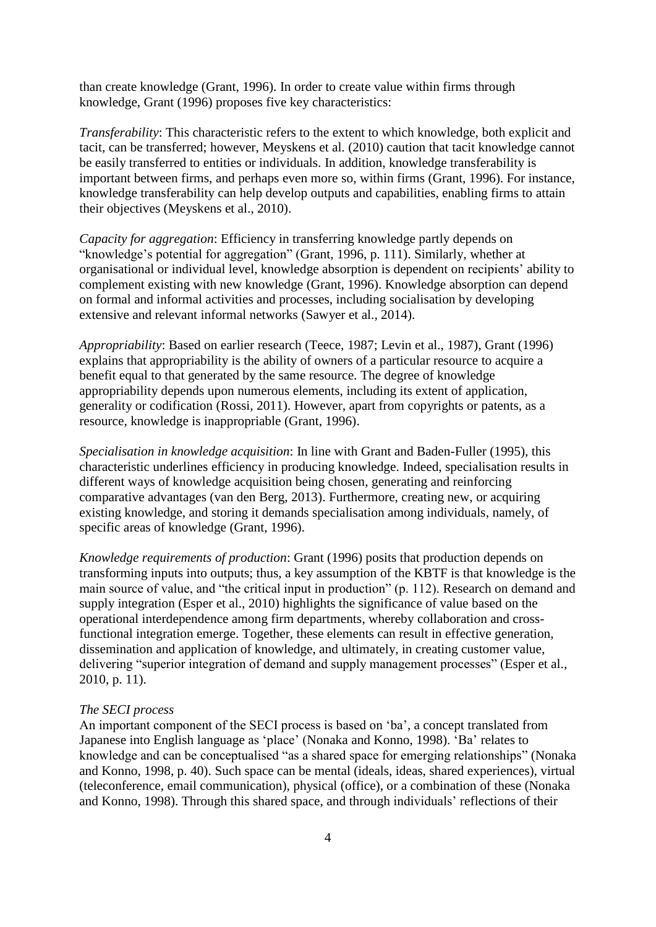than create knowledge (Grant, 1996). In order to create value within firms through knowledge, Grant (1996) proposes five key characteristics:

*Transferability*: This characteristic refers to the extent to which knowledge, both explicit and tacit, can be transferred; however, Meyskens et al. (2010) caution that tacit knowledge cannot be easily transferred to entities or individuals. In addition, knowledge transferability is important between firms, and perhaps even more so, within firms (Grant, 1996). For instance, knowledge transferability can help develop outputs and capabilities, enabling firms to attain their objectives (Meyskens et al., 2010).

*Capacity for aggregation*: Efficiency in transferring knowledge partly depends on "knowledge's potential for aggregation" (Grant, 1996, p. 111). Similarly, whether at organisational or individual level, knowledge absorption is dependent on recipients' ability to complement existing with new knowledge (Grant, 1996). Knowledge absorption can depend on formal and informal activities and processes, including socialisation by developing extensive and relevant informal networks (Sawyer et al., 2014).

*Appropriability*: Based on earlier research (Teece, 1987; Levin et al., 1987), Grant (1996) explains that appropriability is the ability of owners of a particular resource to acquire a benefit equal to that generated by the same resource. The degree of knowledge appropriability depends upon numerous elements, including its extent of application, generality or codification (Rossi, 2011). However, apart from copyrights or patents, as a resource, knowledge is inappropriable (Grant, 1996).

*Specialisation in knowledge acquisition*: In line with Grant and Baden-Fuller (1995), this characteristic underlines efficiency in producing knowledge. Indeed, specialisation results in different ways of knowledge acquisition being chosen, generating and reinforcing comparative advantages (van den Berg, 2013). Furthermore, creating new, or acquiring existing knowledge, and storing it demands specialisation among individuals, namely, of specific areas of knowledge (Grant, 1996).

*Knowledge requirements of production*: Grant (1996) posits that production depends on transforming inputs into outputs; thus, a key assumption of the KBTF is that knowledge is the main source of value, and "the critical input in production" (p. 112). Research on demand and supply integration (Esper et al., 2010) highlights the significance of value based on the operational interdependence among firm departments, whereby collaboration and crossfunctional integration emerge. Together, these elements can result in effective generation, dissemination and application of knowledge, and ultimately, in creating customer value, delivering "superior integration of demand and supply management processes" (Esper et al., 2010, p. 11).

## *The SECI process*

An important component of the SECI process is based on 'ba', a concept translated from Japanese into English language as 'place' (Nonaka and Konno, 1998). 'Ba' relates to knowledge and can be conceptualised "as a shared space for emerging relationships" (Nonaka and Konno, 1998, p. 40). Such space can be mental (ideals, ideas, shared experiences), virtual (teleconference, email communication), physical (office), or a combination of these (Nonaka and Konno, 1998). Through this shared space, and through individuals' reflections of their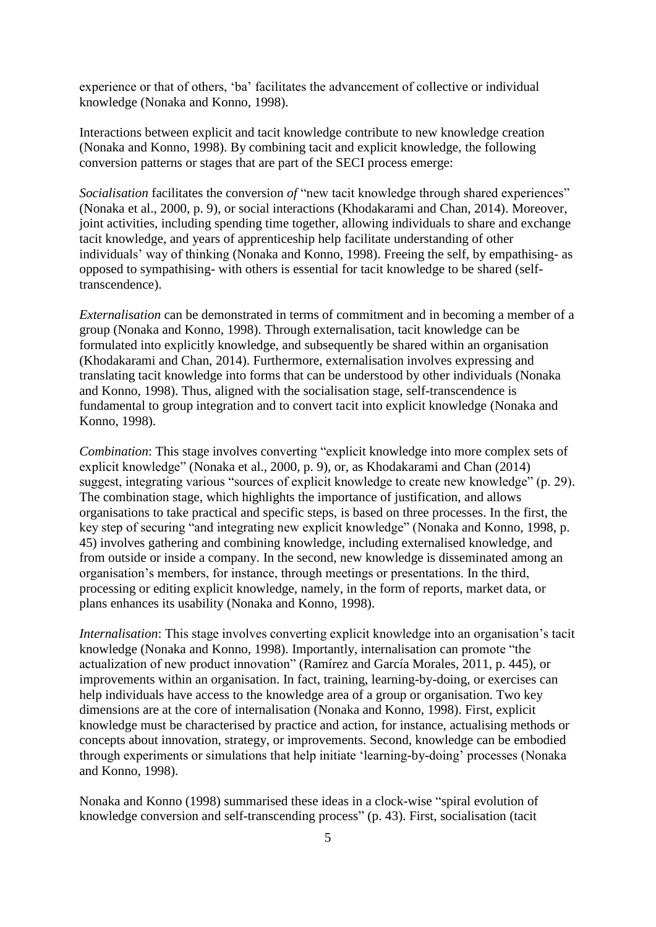experience or that of others, 'ba' facilitates the advancement of collective or individual knowledge (Nonaka and Konno, 1998).

Interactions between explicit and tacit knowledge contribute to new knowledge creation (Nonaka and Konno, 1998). By combining tacit and explicit knowledge, the following conversion patterns or stages that are part of the SECI process emerge:

*Socialisation* facilitates the conversion *of* "new tacit knowledge through shared experiences" (Nonaka et al., 2000, p. 9), or social interactions (Khodakarami and Chan, 2014). Moreover, joint activities, including spending time together, allowing individuals to share and exchange tacit knowledge, and years of apprenticeship help facilitate understanding of other individuals' way of thinking (Nonaka and Konno, 1998). Freeing the self, by empathising- as opposed to sympathising- with others is essential for tacit knowledge to be shared (selftranscendence).

*Externalisation* can be demonstrated in terms of commitment and in becoming a member of a group (Nonaka and Konno, 1998). Through externalisation, tacit knowledge can be formulated into explicitly knowledge, and subsequently be shared within an organisation (Khodakarami and Chan, 2014). Furthermore, externalisation involves expressing and translating tacit knowledge into forms that can be understood by other individuals (Nonaka and Konno, 1998). Thus, aligned with the socialisation stage, self-transcendence is fundamental to group integration and to convert tacit into explicit knowledge (Nonaka and Konno, 1998).

*Combination*: This stage involves converting "explicit knowledge into more complex sets of explicit knowledge" (Nonaka et al., 2000, p. 9), or, as Khodakarami and Chan (2014) suggest, integrating various "sources of explicit knowledge to create new knowledge" (p. 29). The combination stage, which highlights the importance of justification, and allows organisations to take practical and specific steps, is based on three processes. In the first, the key step of securing "and integrating new explicit knowledge" (Nonaka and Konno, 1998, p. 45) involves gathering and combining knowledge, including externalised knowledge, and from outside or inside a company. In the second, new knowledge is disseminated among an organisation's members, for instance, through meetings or presentations. In the third, processing or editing explicit knowledge, namely, in the form of reports, market data, or plans enhances its usability (Nonaka and Konno, 1998).

*Internalisation*: This stage involves converting explicit knowledge into an organisation's tacit knowledge (Nonaka and Konno, 1998). Importantly, internalisation can promote "the actualization of new product innovation" (Ramírez and García Morales, 2011, p. 445), or improvements within an organisation. In fact, training, learning-by-doing, or exercises can help individuals have access to the knowledge area of a group or organisation. Two key dimensions are at the core of internalisation (Nonaka and Konno, 1998). First, explicit knowledge must be characterised by practice and action, for instance, actualising methods or concepts about innovation, strategy, or improvements. Second, knowledge can be embodied through experiments or simulations that help initiate 'learning-by-doing' processes (Nonaka and Konno, 1998).

Nonaka and Konno (1998) summarised these ideas in a clock-wise "spiral evolution of knowledge conversion and self-transcending process" (p. 43). First, socialisation (tacit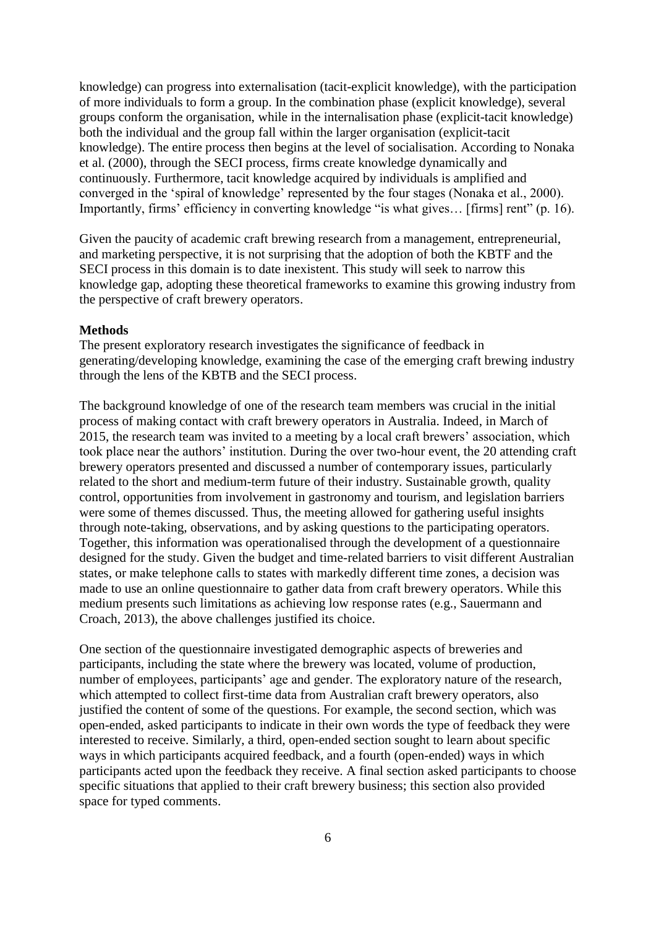knowledge) can progress into externalisation (tacit-explicit knowledge), with the participation of more individuals to form a group. In the combination phase (explicit knowledge), several groups conform the organisation, while in the internalisation phase (explicit-tacit knowledge) both the individual and the group fall within the larger organisation (explicit-tacit knowledge). The entire process then begins at the level of socialisation. According to Nonaka et al. (2000), through the SECI process, firms create knowledge dynamically and continuously. Furthermore, tacit knowledge acquired by individuals is amplified and converged in the 'spiral of knowledge' represented by the four stages (Nonaka et al., 2000). Importantly, firms' efficiency in converting knowledge "is what gives… [firms] rent" (p. 16).

Given the paucity of academic craft brewing research from a management, entrepreneurial, and marketing perspective, it is not surprising that the adoption of both the KBTF and the SECI process in this domain is to date inexistent. This study will seek to narrow this knowledge gap, adopting these theoretical frameworks to examine this growing industry from the perspective of craft brewery operators.

#### **Methods**

The present exploratory research investigates the significance of feedback in generating/developing knowledge, examining the case of the emerging craft brewing industry through the lens of the KBTB and the SECI process.

The background knowledge of one of the research team members was crucial in the initial process of making contact with craft brewery operators in Australia. Indeed, in March of 2015, the research team was invited to a meeting by a local craft brewers' association, which took place near the authors' institution. During the over two-hour event, the 20 attending craft brewery operators presented and discussed a number of contemporary issues, particularly related to the short and medium-term future of their industry. Sustainable growth, quality control, opportunities from involvement in gastronomy and tourism, and legislation barriers were some of themes discussed. Thus, the meeting allowed for gathering useful insights through note-taking, observations, and by asking questions to the participating operators. Together, this information was operationalised through the development of a questionnaire designed for the study. Given the budget and time-related barriers to visit different Australian states, or make telephone calls to states with markedly different time zones, a decision was made to use an online questionnaire to gather data from craft brewery operators. While this medium presents such limitations as achieving low response rates (e.g., Sauermann and Croach, 2013), the above challenges justified its choice.

One section of the questionnaire investigated demographic aspects of breweries and participants, including the state where the brewery was located, volume of production, number of employees, participants' age and gender. The exploratory nature of the research, which attempted to collect first-time data from Australian craft brewery operators, also justified the content of some of the questions. For example, the second section, which was open-ended, asked participants to indicate in their own words the type of feedback they were interested to receive. Similarly, a third, open-ended section sought to learn about specific ways in which participants acquired feedback, and a fourth (open-ended) ways in which participants acted upon the feedback they receive. A final section asked participants to choose specific situations that applied to their craft brewery business; this section also provided space for typed comments.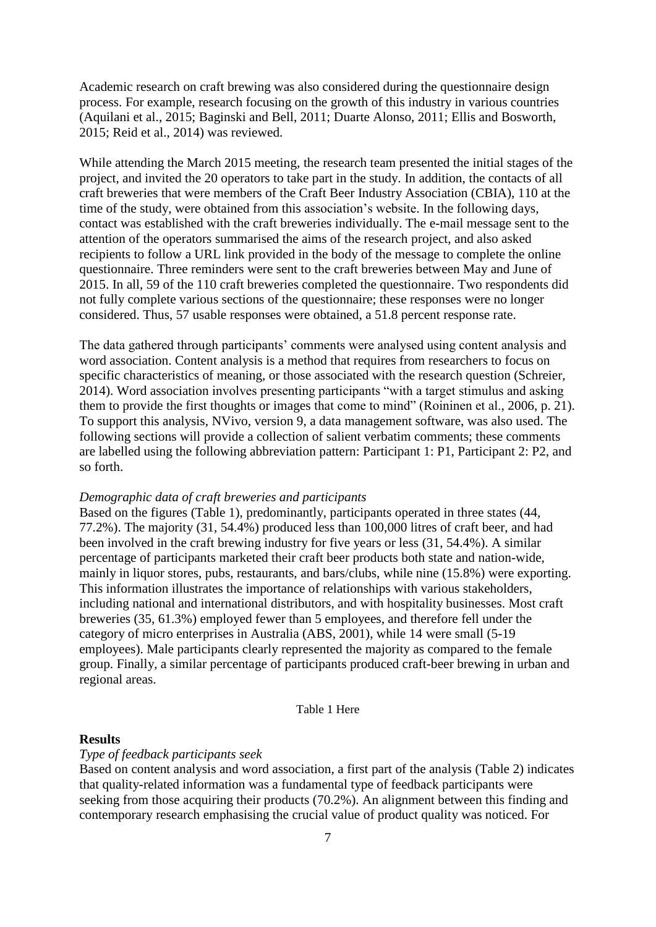Academic research on craft brewing was also considered during the questionnaire design process. For example, research focusing on the growth of this industry in various countries (Aquilani et al., 2015; Baginski and Bell, 2011; Duarte Alonso, 2011; Ellis and Bosworth, 2015; Reid et al., 2014) was reviewed.

While attending the March 2015 meeting, the research team presented the initial stages of the project, and invited the 20 operators to take part in the study. In addition, the contacts of all craft breweries that were members of the Craft Beer Industry Association (CBIA), 110 at the time of the study, were obtained from this association's website. In the following days, contact was established with the craft breweries individually. The e-mail message sent to the attention of the operators summarised the aims of the research project, and also asked recipients to follow a URL link provided in the body of the message to complete the online questionnaire. Three reminders were sent to the craft breweries between May and June of 2015. In all, 59 of the 110 craft breweries completed the questionnaire. Two respondents did not fully complete various sections of the questionnaire; these responses were no longer considered. Thus, 57 usable responses were obtained, a 51.8 percent response rate.

The data gathered through participants' comments were analysed using content analysis and word association. Content analysis is a method that requires from researchers to focus on specific characteristics of meaning, or those associated with the research question (Schreier, 2014). Word association involves presenting participants "with a target stimulus and asking them to provide the first thoughts or images that come to mind" (Roininen et al., 2006, p. 21). To support this analysis, NVivo, version 9, a data management software, was also used. The following sections will provide a collection of salient verbatim comments; these comments are labelled using the following abbreviation pattern: Participant 1: P1, Participant 2: P2, and so forth.

#### *Demographic data of craft breweries and participants*

Based on the figures (Table 1), predominantly, participants operated in three states (44, 77.2%). The majority (31, 54.4%) produced less than 100,000 litres of craft beer, and had been involved in the craft brewing industry for five years or less (31, 54.4%). A similar percentage of participants marketed their craft beer products both state and nation-wide, mainly in liquor stores, pubs, restaurants, and bars/clubs, while nine (15.8%) were exporting. This information illustrates the importance of relationships with various stakeholders, including national and international distributors, and with hospitality businesses. Most craft breweries (35, 61.3%) employed fewer than 5 employees, and therefore fell under the category of micro enterprises in Australia (ABS, 2001), while 14 were small (5-19 employees). Male participants clearly represented the majority as compared to the female group. Finally, a similar percentage of participants produced craft-beer brewing in urban and regional areas.

#### Table 1 Here

#### **Results**

### *Type of feedback participants seek*

Based on content analysis and word association, a first part of the analysis (Table 2) indicates that quality-related information was a fundamental type of feedback participants were seeking from those acquiring their products (70.2%). An alignment between this finding and contemporary research emphasising the crucial value of product quality was noticed. For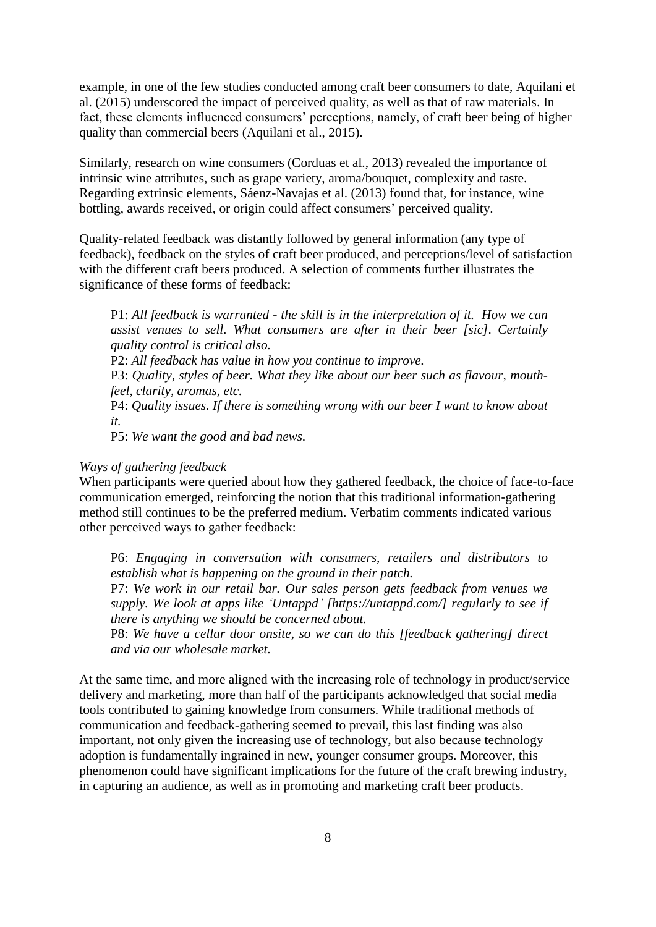example, in one of the few studies conducted among craft beer consumers to date, Aquilani et al. (2015) underscored the impact of perceived quality, as well as that of raw materials. In fact, these elements influenced consumers' perceptions, namely, of craft beer being of higher quality than commercial beers (Aquilani et al., 2015).

Similarly, research on wine consumers (Corduas et al., 2013) revealed the importance of intrinsic wine attributes, such as grape variety, aroma/bouquet, complexity and taste. Regarding extrinsic elements, Sáenz-Navajas et al. (2013) found that, for instance, wine bottling, awards received, or origin could affect consumers' perceived quality.

Quality-related feedback was distantly followed by general information (any type of feedback), feedback on the styles of craft beer produced, and perceptions/level of satisfaction with the different craft beers produced. A selection of comments further illustrates the significance of these forms of feedback:

P1: *All feedback is warranted - the skill is in the interpretation of it. How we can assist venues to sell. What consumers are after in their beer [sic]. Certainly quality control is critical also.*

P2: *All feedback has value in how you continue to improve.*

P3: *Quality, styles of beer. What they like about our beer such as flavour, mouthfeel, clarity, aromas, etc.*

P4: *Quality issues. If there is something wrong with our beer I want to know about it.*

P5: *We want the good and bad news.* 

#### *Ways of gathering feedback*

When participants were queried about how they gathered feedback, the choice of face-to-face communication emerged, reinforcing the notion that this traditional information-gathering method still continues to be the preferred medium. Verbatim comments indicated various other perceived ways to gather feedback:

P6: *Engaging in conversation with consumers, retailers and distributors to establish what is happening on the ground in their patch.*

P7: *We work in our retail bar. Our sales person gets feedback from venues we supply. We look at apps like 'Untappd' [\[https://untappd.com/\]](https://untappd.com/) regularly to see if there is anything we should be concerned about.*

P8: *We have a cellar door onsite, so we can do this [feedback gathering] direct and via our wholesale market.*

At the same time, and more aligned with the increasing role of technology in product/service delivery and marketing, more than half of the participants acknowledged that social media tools contributed to gaining knowledge from consumers. While traditional methods of communication and feedback-gathering seemed to prevail, this last finding was also important, not only given the increasing use of technology, but also because technology adoption is fundamentally ingrained in new, younger consumer groups. Moreover, this phenomenon could have significant implications for the future of the craft brewing industry, in capturing an audience, as well as in promoting and marketing craft beer products.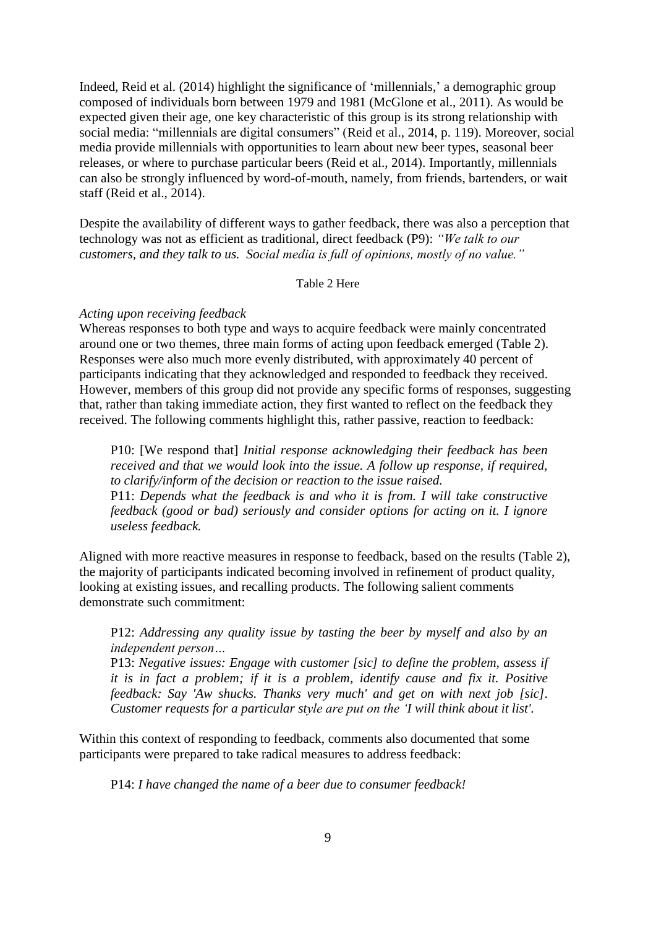Indeed, Reid et al. (2014) highlight the significance of 'millennials,' a demographic group composed of individuals born between 1979 and 1981 (McGlone et al., 2011). As would be expected given their age, one key characteristic of this group is its strong relationship with social media: "millennials are digital consumers" (Reid et al., 2014, p. 119). Moreover, social media provide millennials with opportunities to learn about new beer types, seasonal beer releases, or where to purchase particular beers (Reid et al., 2014). Importantly, millennials can also be strongly influenced by word-of-mouth, namely, from friends, bartenders, or wait staff (Reid et al., 2014).

Despite the availability of different ways to gather feedback, there was also a perception that technology was not as efficient as traditional, direct feedback (P9): *"We talk to our customers, and they talk to us. Social media is full of opinions, mostly of no value."*

Table 2 Here

## *Acting upon receiving feedback*

Whereas responses to both type and ways to acquire feedback were mainly concentrated around one or two themes, three main forms of acting upon feedback emerged (Table 2). Responses were also much more evenly distributed, with approximately 40 percent of participants indicating that they acknowledged and responded to feedback they received. However, members of this group did not provide any specific forms of responses, suggesting that, rather than taking immediate action, they first wanted to reflect on the feedback they received. The following comments highlight this, rather passive, reaction to feedback:

P10: [We respond that] *Initial response acknowledging their feedback has been received and that we would look into the issue. A follow up response, if required, to clarify/inform of the decision or reaction to the issue raised.* P11: *Depends what the feedback is and who it is from. I will take constructive feedback (good or bad) seriously and consider options for acting on it. I ignore useless feedback.*

Aligned with more reactive measures in response to feedback, based on the results (Table 2), the majority of participants indicated becoming involved in refinement of product quality, looking at existing issues, and recalling products. The following salient comments demonstrate such commitment:

P12: *Addressing any quality issue by tasting the beer by myself and also by an independent person…*

P13: *Negative issues: Engage with customer [sic] to define the problem, assess if it is in fact a problem; if it is a problem, identify cause and fix it. Positive feedback: Say 'Aw shucks. Thanks very much' and get on with next job [sic]. Customer requests for a particular style are put on the 'I will think about it list'.*

Within this context of responding to feedback, comments also documented that some participants were prepared to take radical measures to address feedback:

P14: *I have changed the name of a beer due to consumer feedback!*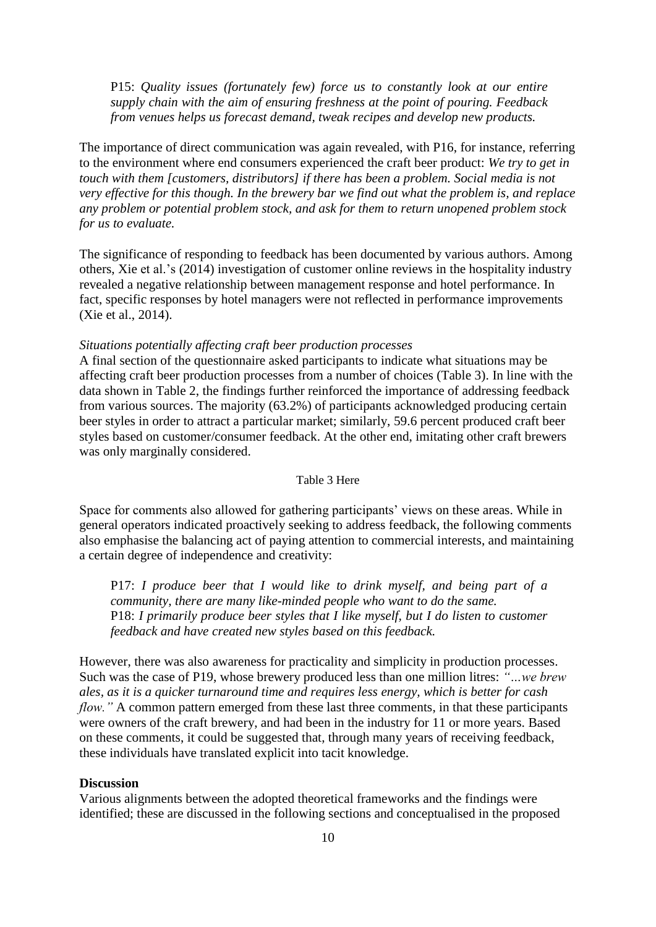P15: *Quality issues (fortunately few) force us to constantly look at our entire supply chain with the aim of ensuring freshness at the point of pouring. Feedback from venues helps us forecast demand, tweak recipes and develop new products.*

The importance of direct communication was again revealed, with P16, for instance, referring to the environment where end consumers experienced the craft beer product: *We try to get in touch with them [customers, distributors] if there has been a problem. Social media is not very effective for this though. In the brewery bar we find out what the problem is, and replace any problem or potential problem stock, and ask for them to return unopened problem stock for us to evaluate.*

The significance of responding to feedback has been documented by various authors. Among others, Xie et al.'s (2014) investigation of customer online reviews in the hospitality industry revealed a negative relationship between management response and hotel performance. In fact, specific responses by hotel managers were not reflected in performance improvements (Xie et al., 2014).

#### *Situations potentially affecting craft beer production processes*

A final section of the questionnaire asked participants to indicate what situations may be affecting craft beer production processes from a number of choices (Table 3). In line with the data shown in Table 2, the findings further reinforced the importance of addressing feedback from various sources. The majority (63.2%) of participants acknowledged producing certain beer styles in order to attract a particular market; similarly, 59.6 percent produced craft beer styles based on customer/consumer feedback. At the other end, imitating other craft brewers was only marginally considered.

#### Table 3 Here

Space for comments also allowed for gathering participants' views on these areas. While in general operators indicated proactively seeking to address feedback, the following comments also emphasise the balancing act of paying attention to commercial interests, and maintaining a certain degree of independence and creativity:

P17: *I produce beer that I would like to drink myself, and being part of a community, there are many like-minded people who want to do the same.* P18: *I primarily produce beer styles that I like myself, but I do listen to customer feedback and have created new styles based on this feedback.*

However, there was also awareness for practicality and simplicity in production processes. Such was the case of P19, whose brewery produced less than one million litres: *"…we brew ales, as it is a quicker turnaround time and requires less energy, which is better for cash flow.*" A common pattern emerged from these last three comments, in that these participants were owners of the craft brewery, and had been in the industry for 11 or more years. Based on these comments, it could be suggested that, through many years of receiving feedback, these individuals have translated explicit into tacit knowledge.

#### **Discussion**

Various alignments between the adopted theoretical frameworks and the findings were identified; these are discussed in the following sections and conceptualised in the proposed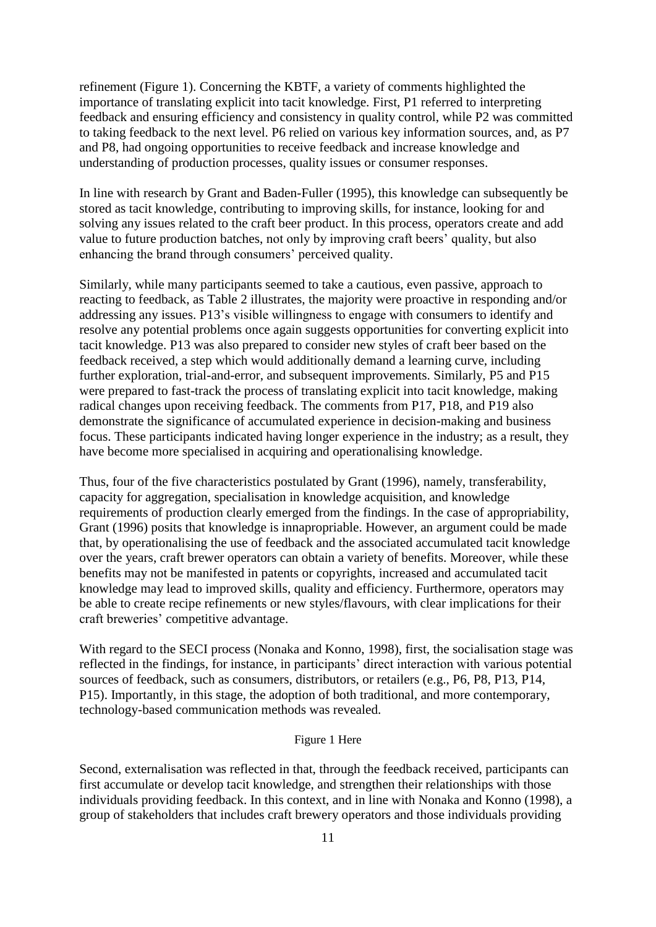refinement (Figure 1). Concerning the KBTF, a variety of comments highlighted the importance of translating explicit into tacit knowledge. First, P1 referred to interpreting feedback and ensuring efficiency and consistency in quality control, while P2 was committed to taking feedback to the next level. P6 relied on various key information sources, and, as P7 and P8, had ongoing opportunities to receive feedback and increase knowledge and understanding of production processes, quality issues or consumer responses.

In line with research by Grant and Baden-Fuller (1995), this knowledge can subsequently be stored as tacit knowledge, contributing to improving skills, for instance, looking for and solving any issues related to the craft beer product. In this process, operators create and add value to future production batches, not only by improving craft beers' quality, but also enhancing the brand through consumers' perceived quality.

Similarly, while many participants seemed to take a cautious, even passive, approach to reacting to feedback, as Table 2 illustrates, the majority were proactive in responding and/or addressing any issues. P13's visible willingness to engage with consumers to identify and resolve any potential problems once again suggests opportunities for converting explicit into tacit knowledge. P13 was also prepared to consider new styles of craft beer based on the feedback received, a step which would additionally demand a learning curve, including further exploration, trial-and-error, and subsequent improvements. Similarly, P5 and P15 were prepared to fast-track the process of translating explicit into tacit knowledge, making radical changes upon receiving feedback. The comments from P17, P18, and P19 also demonstrate the significance of accumulated experience in decision-making and business focus. These participants indicated having longer experience in the industry; as a result, they have become more specialised in acquiring and operationalising knowledge.

Thus, four of the five characteristics postulated by Grant (1996), namely, transferability, capacity for aggregation, specialisation in knowledge acquisition, and knowledge requirements of production clearly emerged from the findings. In the case of appropriability, Grant (1996) posits that knowledge is innapropriable. However, an argument could be made that, by operationalising the use of feedback and the associated accumulated tacit knowledge over the years, craft brewer operators can obtain a variety of benefits. Moreover, while these benefits may not be manifested in patents or copyrights, increased and accumulated tacit knowledge may lead to improved skills, quality and efficiency. Furthermore, operators may be able to create recipe refinements or new styles/flavours, with clear implications for their craft breweries' competitive advantage.

With regard to the SECI process (Nonaka and Konno, 1998), first, the socialisation stage was reflected in the findings, for instance, in participants' direct interaction with various potential sources of feedback, such as consumers, distributors, or retailers (e.g., P6, P8, P13, P14, P15). Importantly, in this stage, the adoption of both traditional, and more contemporary, technology-based communication methods was revealed.

# Figure 1 Here

Second, externalisation was reflected in that, through the feedback received, participants can first accumulate or develop tacit knowledge, and strengthen their relationships with those individuals providing feedback. In this context, and in line with Nonaka and Konno (1998), a group of stakeholders that includes craft brewery operators and those individuals providing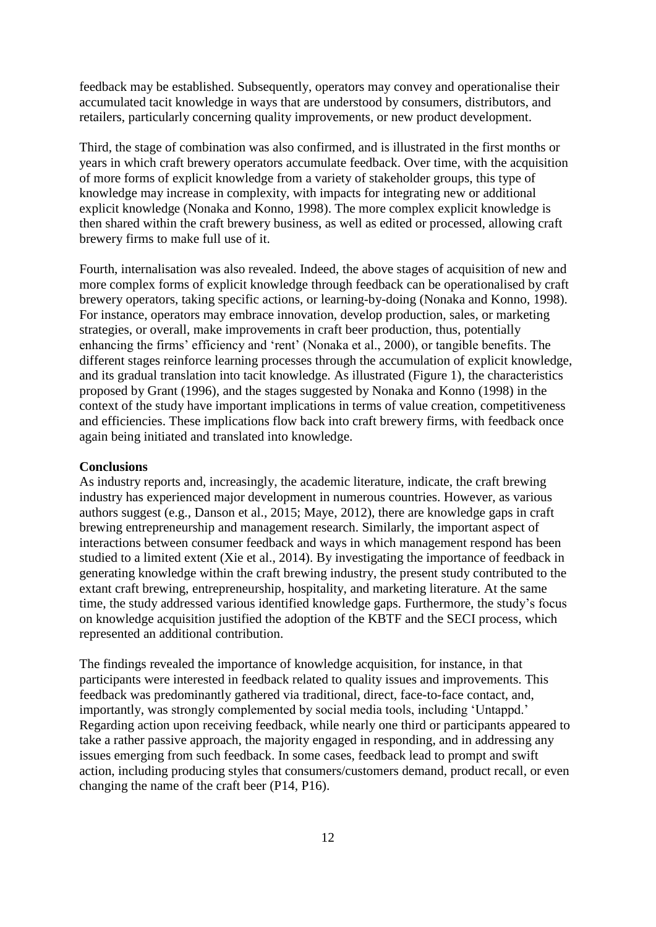feedback may be established. Subsequently, operators may convey and operationalise their accumulated tacit knowledge in ways that are understood by consumers, distributors, and retailers, particularly concerning quality improvements, or new product development.

Third, the stage of combination was also confirmed, and is illustrated in the first months or years in which craft brewery operators accumulate feedback. Over time, with the acquisition of more forms of explicit knowledge from a variety of stakeholder groups, this type of knowledge may increase in complexity, with impacts for integrating new or additional explicit knowledge (Nonaka and Konno, 1998). The more complex explicit knowledge is then shared within the craft brewery business, as well as edited or processed, allowing craft brewery firms to make full use of it.

Fourth, internalisation was also revealed. Indeed, the above stages of acquisition of new and more complex forms of explicit knowledge through feedback can be operationalised by craft brewery operators, taking specific actions, or learning-by-doing (Nonaka and Konno, 1998). For instance, operators may embrace innovation, develop production, sales, or marketing strategies, or overall, make improvements in craft beer production, thus, potentially enhancing the firms' efficiency and 'rent' (Nonaka et al., 2000), or tangible benefits. The different stages reinforce learning processes through the accumulation of explicit knowledge, and its gradual translation into tacit knowledge. As illustrated (Figure 1), the characteristics proposed by Grant (1996), and the stages suggested by Nonaka and Konno (1998) in the context of the study have important implications in terms of value creation, competitiveness and efficiencies. These implications flow back into craft brewery firms, with feedback once again being initiated and translated into knowledge.

#### **Conclusions**

As industry reports and, increasingly, the academic literature, indicate, the craft brewing industry has experienced major development in numerous countries. However, as various authors suggest (e.g., Danson et al., 2015; Maye, 2012), there are knowledge gaps in craft brewing entrepreneurship and management research. Similarly, the important aspect of interactions between consumer feedback and ways in which management respond has been studied to a limited extent (Xie et al., 2014). By investigating the importance of feedback in generating knowledge within the craft brewing industry, the present study contributed to the extant craft brewing, entrepreneurship, hospitality, and marketing literature. At the same time, the study addressed various identified knowledge gaps. Furthermore, the study's focus on knowledge acquisition justified the adoption of the KBTF and the SECI process, which represented an additional contribution.

The findings revealed the importance of knowledge acquisition, for instance, in that participants were interested in feedback related to quality issues and improvements. This feedback was predominantly gathered via traditional, direct, face-to-face contact, and, importantly, was strongly complemented by social media tools, including 'Untappd.' Regarding action upon receiving feedback, while nearly one third or participants appeared to take a rather passive approach, the majority engaged in responding, and in addressing any issues emerging from such feedback. In some cases, feedback lead to prompt and swift action, including producing styles that consumers/customers demand, product recall, or even changing the name of the craft beer (P14, P16).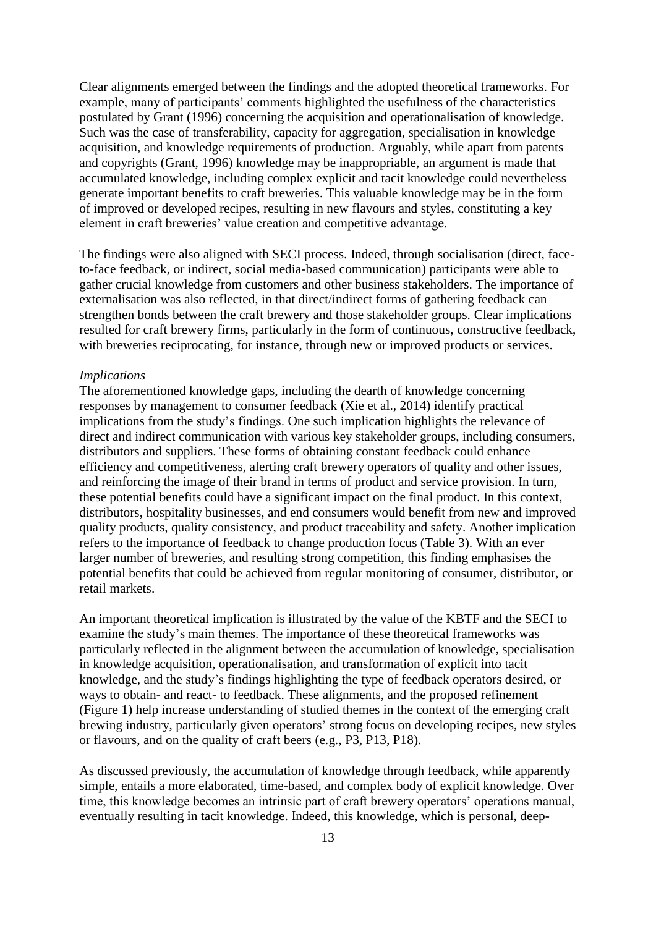Clear alignments emerged between the findings and the adopted theoretical frameworks. For example, many of participants' comments highlighted the usefulness of the characteristics postulated by Grant (1996) concerning the acquisition and operationalisation of knowledge. Such was the case of transferability, capacity for aggregation, specialisation in knowledge acquisition, and knowledge requirements of production. Arguably, while apart from patents and copyrights (Grant, 1996) knowledge may be inappropriable, an argument is made that accumulated knowledge, including complex explicit and tacit knowledge could nevertheless generate important benefits to craft breweries. This valuable knowledge may be in the form of improved or developed recipes, resulting in new flavours and styles, constituting a key element in craft breweries' value creation and competitive advantage.

The findings were also aligned with SECI process. Indeed, through socialisation (direct, faceto-face feedback, or indirect, social media-based communication) participants were able to gather crucial knowledge from customers and other business stakeholders. The importance of externalisation was also reflected, in that direct/indirect forms of gathering feedback can strengthen bonds between the craft brewery and those stakeholder groups. Clear implications resulted for craft brewery firms, particularly in the form of continuous, constructive feedback, with breweries reciprocating, for instance, through new or improved products or services.

#### *Implications*

The aforementioned knowledge gaps, including the dearth of knowledge concerning responses by management to consumer feedback (Xie et al., 2014) identify practical implications from the study's findings. One such implication highlights the relevance of direct and indirect communication with various key stakeholder groups, including consumers, distributors and suppliers. These forms of obtaining constant feedback could enhance efficiency and competitiveness, alerting craft brewery operators of quality and other issues, and reinforcing the image of their brand in terms of product and service provision. In turn, these potential benefits could have a significant impact on the final product. In this context, distributors, hospitality businesses, and end consumers would benefit from new and improved quality products, quality consistency, and product traceability and safety. Another implication refers to the importance of feedback to change production focus (Table 3). With an ever larger number of breweries, and resulting strong competition, this finding emphasises the potential benefits that could be achieved from regular monitoring of consumer, distributor, or retail markets.

An important theoretical implication is illustrated by the value of the KBTF and the SECI to examine the study's main themes. The importance of these theoretical frameworks was particularly reflected in the alignment between the accumulation of knowledge, specialisation in knowledge acquisition, operationalisation, and transformation of explicit into tacit knowledge, and the study's findings highlighting the type of feedback operators desired, or ways to obtain- and react- to feedback. These alignments, and the proposed refinement (Figure 1) help increase understanding of studied themes in the context of the emerging craft brewing industry, particularly given operators' strong focus on developing recipes, new styles or flavours, and on the quality of craft beers (e.g., P3, P13, P18).

As discussed previously, the accumulation of knowledge through feedback, while apparently simple, entails a more elaborated, time-based, and complex body of explicit knowledge. Over time, this knowledge becomes an intrinsic part of craft brewery operators' operations manual, eventually resulting in tacit knowledge. Indeed, this knowledge, which is personal, deep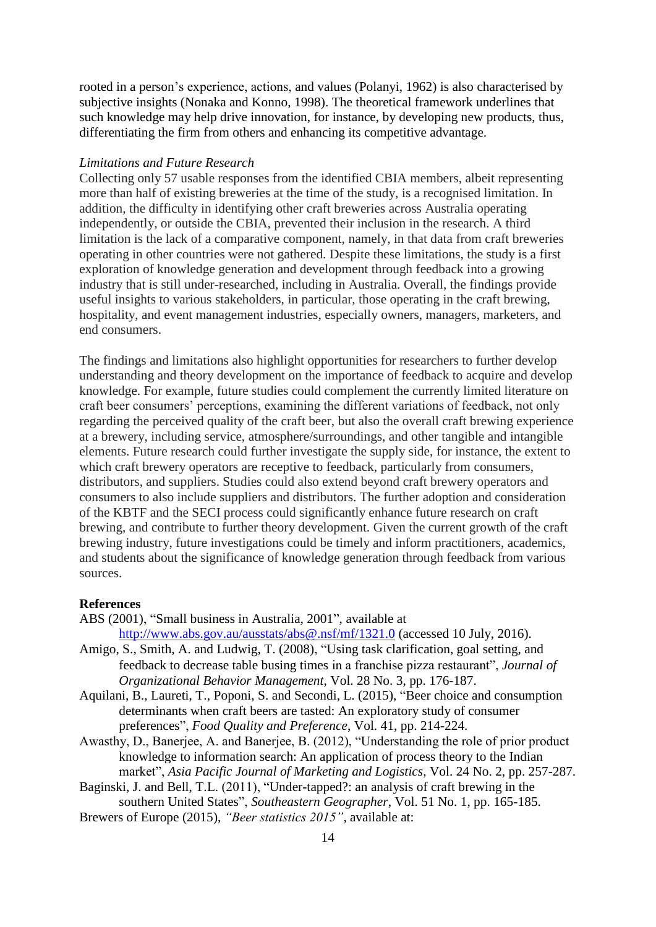rooted in a person's experience, actions, and values (Polanyi, 1962) is also characterised by subjective insights (Nonaka and Konno, 1998). The theoretical framework underlines that such knowledge may help drive innovation, for instance, by developing new products, thus, differentiating the firm from others and enhancing its competitive advantage.

## *Limitations and Future Research*

Collecting only 57 usable responses from the identified CBIA members, albeit representing more than half of existing breweries at the time of the study, is a recognised limitation. In addition, the difficulty in identifying other craft breweries across Australia operating independently, or outside the CBIA, prevented their inclusion in the research. A third limitation is the lack of a comparative component, namely, in that data from craft breweries operating in other countries were not gathered. Despite these limitations, the study is a first exploration of knowledge generation and development through feedback into a growing industry that is still under-researched, including in Australia. Overall, the findings provide useful insights to various stakeholders, in particular, those operating in the craft brewing, hospitality, and event management industries, especially owners, managers, marketers, and end consumers.

The findings and limitations also highlight opportunities for researchers to further develop understanding and theory development on the importance of feedback to acquire and develop knowledge. For example, future studies could complement the currently limited literature on craft beer consumers' perceptions, examining the different variations of feedback, not only regarding the perceived quality of the craft beer, but also the overall craft brewing experience at a brewery, including service, atmosphere/surroundings, and other tangible and intangible elements. Future research could further investigate the supply side, for instance, the extent to which craft brewery operators are receptive to feedback, particularly from consumers, distributors, and suppliers. Studies could also extend beyond craft brewery operators and consumers to also include suppliers and distributors. The further adoption and consideration of the KBTF and the SECI process could significantly enhance future research on craft brewing, and contribute to further theory development. Given the current growth of the craft brewing industry, future investigations could be timely and inform practitioners, academics, and students about the significance of knowledge generation through feedback from various sources.

#### **References**

- ABS (2001), "Small business in Australia, 2001", available at <http://www.abs.gov.au/ausstats/abs@.nsf/mf/1321.0> (accessed 10 July, 2016).
- Amigo, S., Smith, A. and Ludwig, T. (2008), "Using task clarification, goal setting, and feedback to decrease table busing times in a franchise pizza restaurant", *Journal of Organizational Behavior Management*, Vol. 28 No. 3, pp. 176-187.
- Aquilani, B., Laureti, T., Poponi, S. and Secondi, L. (2015), "Beer choice and consumption determinants when craft beers are tasted: An exploratory study of consumer preferences", *Food Quality and Preference*, Vol. 41, pp. 214-224.
- Awasthy, D., Banerjee, A. and Banerjee, B. (2012), "Understanding the role of prior product knowledge to information search: An application of process theory to the Indian market", *Asia Pacific Journal of Marketing and Logistics*, Vol. 24 No. 2, pp. 257-287.
- Baginski, J. and Bell, T.L. (2011), "Under-tapped?: an analysis of craft brewing in the southern United States", *Southeastern Geographer*, Vol. 51 No. 1, pp. 165-185.
- Brewers of Europe (2015), *"Beer statistics 2015"*, available at: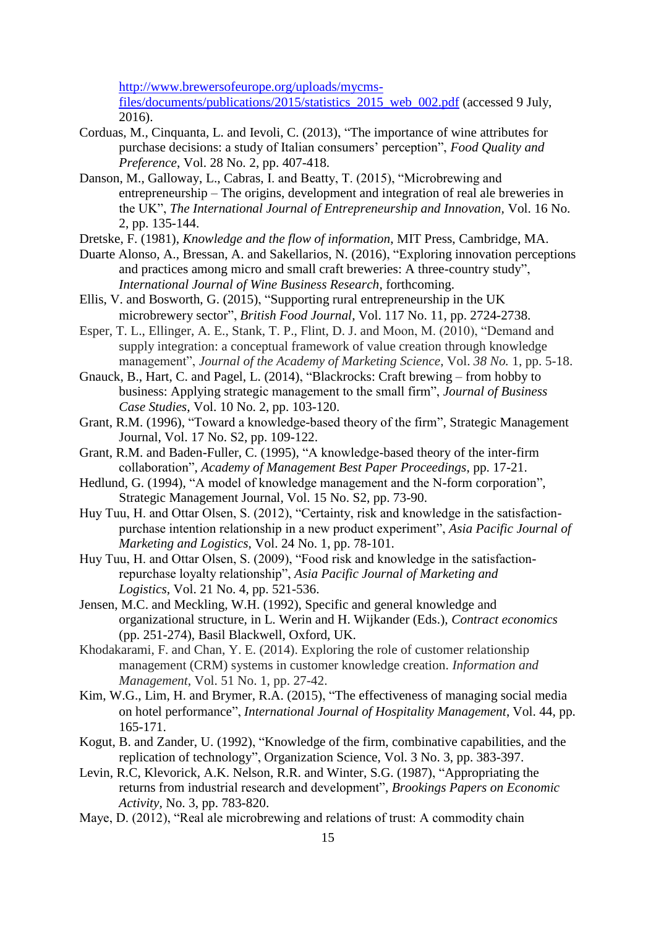[http://www.brewersofeurope.org/uploads/mycms](http://www.brewersofeurope.org/uploads/mycms-files/documents/publications/2015/statistics_2015_web_002.pdf)[files/documents/publications/2015/statistics\\_2015\\_web\\_002.pdf](http://www.brewersofeurope.org/uploads/mycms-files/documents/publications/2015/statistics_2015_web_002.pdf) (accessed 9 July, 2016).

- Corduas, M., Cinquanta, L. and Ievoli, C. (2013), "The importance of wine attributes for purchase decisions: a study of Italian consumers' perception", *Food Quality and Preference*, Vol. 28 No. 2, pp. 407-418.
- Danson, M., Galloway, L., Cabras, I. and Beatty, T. (2015), "Microbrewing and entrepreneurship – The origins, development and integration of real ale breweries in the UK", *The International Journal of Entrepreneurship and Innovation,* Vol. 16 No. 2, pp. 135-144.
- Dretske, F. (1981), *Knowledge and the flow of information*, MIT Press, Cambridge, MA.
- Duarte Alonso, A., Bressan, A. and Sakellarios, N. (2016), "Exploring innovation perceptions and practices among micro and small craft breweries: A three-country study", *International Journal of Wine Business Research*, forthcoming.
- Ellis, V. and Bosworth, G. (2015), "Supporting rural entrepreneurship in the UK microbrewery sector", *British Food Journal*, Vol. 117 No. 11, pp. 2724-2738.
- Esper, T. L., Ellinger, A. E., Stank, T. P., Flint, D. J. and Moon, M. (2010), "Demand and supply integration: a conceptual framework of value creation through knowledge management", *Journal of the Academy of Marketing Science*, Vol. *38 No.* 1, pp. 5-18.
- Gnauck, B., Hart, C. and Pagel, L. (2014), "Blackrocks: Craft brewing from hobby to business: Applying strategic management to the small firm", *Journal of Business Case Studies*, Vol. 10 No. 2, pp. 103-120.
- Grant, R.M. (1996), "Toward a knowledge-based theory of the firm", Strategic Management Journal, Vol. 17 No. S2, pp. 109-122.
- Grant, R.M. and Baden-Fuller, C. (1995), "A knowledge-based theory of the inter-firm collaboration", *Academy of Management Best Paper Proceedings*, pp. 17-21.
- Hedlund, G. (1994), "A model of knowledge management and the N-form corporation", Strategic Management Journal, Vol. 15 No. S2, pp. 73-90.
- Huy Tuu, H. and Ottar Olsen, S. (2012), "Certainty, risk and knowledge in the satisfactionpurchase intention relationship in a new product experiment", *Asia Pacific Journal of Marketing and Logistics*, Vol. 24 No. 1, pp. 78-101.
- Huy Tuu, H. and Ottar Olsen, S. (2009), "Food risk and knowledge in the satisfactionrepurchase loyalty relationship", *Asia Pacific Journal of Marketing and Logistics*, Vol. 21 No. 4, pp. 521-536.
- Jensen, M.C. and Meckling, W.H. (1992), Specific and general knowledge and organizational structure, in L. Werin and H. Wijkander (Eds.), *Contract economics* (pp. 251-274), Basil Blackwell, Oxford, UK.
- Khodakarami, F. and Chan, Y. E. (2014). Exploring the role of customer relationship management (CRM) systems in customer knowledge creation. *Information and Management*, Vol. 51 No. 1, pp. 27-42.
- Kim, W.G., Lim, H. and Brymer, R.A. (2015), "The effectiveness of managing social media on hotel performance", *International Journal of Hospitality Management*, Vol. 44, pp. 165-171.
- Kogut, B. and Zander, U. (1992), "Knowledge of the firm, combinative capabilities, and the replication of technology", Organization Science, Vol. 3 No. 3, pp. 383-397.
- Levin, R.C, Klevorick, A.K. Nelson, R.R. and Winter, S.G. (1987), "Appropriating the returns from industrial research and development", *Brookings Papers on Economic Activity,* No. 3, pp. 783-820.
- Maye, D. (2012), "Real ale microbrewing and relations of trust: A commodity chain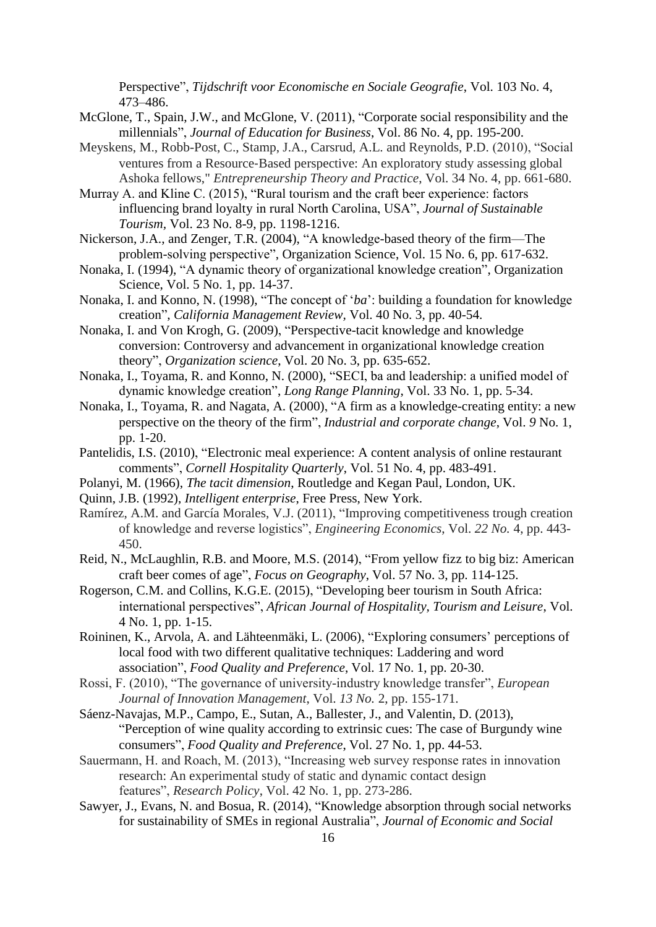Perspective", *Tijdschrift voor Economische en Sociale Geografie*, Vol. 103 No. 4, 473–486.

- McGlone, T., Spain, J.W., and McGlone, V. (2011), "Corporate social responsibility and the millennials", *Journal of Education for Business*, Vol. 86 No. 4, pp. 195-200.
- Meyskens, M., Robb-Post, C., Stamp, J.A., Carsrud, A.L. and Reynolds, P.D. (2010), "Social ventures from a Resource‐Based perspective: An exploratory study assessing global Ashoka fellows," *Entrepreneurship Theory and Practice*, Vol. 34 No. 4, pp. 661-680.
- Murray A. and Kline C. (2015), "Rural tourism and the craft beer experience: factors influencing brand loyalty in rural North Carolina, USA", *Journal of Sustainable Tourism,* Vol. 23 No. 8-9, pp. 1198-1216.
- Nickerson, J.A., and Zenger, T.R. (2004), "A knowledge-based theory of the firm—The problem-solving perspective", Organization Science, Vol. 15 No. 6, pp. 617-632.
- Nonaka, I. (1994), "A dynamic theory of organizational knowledge creation", Organization Science, Vol. 5 No. 1, pp. 14-37.
- Nonaka, I. and Konno, N. (1998), "The concept of '*ba*': building a foundation for knowledge creation", *California Management Review,* Vol. 40 No. 3, pp. 40-54.
- Nonaka, I. and Von Krogh, G. (2009), "Perspective-tacit knowledge and knowledge conversion: Controversy and advancement in organizational knowledge creation theory", *Organization science*, Vol. 20 No. 3, pp. 635-652.
- Nonaka, I., Toyama, R. and Konno, N. (2000), "SECI, ba and leadership: a unified model of dynamic knowledge creation", *Long Range Planning*, Vol. 33 No. 1, pp. 5-34.
- Nonaka, I., Toyama, R. and Nagata, A. (2000), "A firm as a knowledge-creating entity: a new perspective on the theory of the firm", *Industrial and corporate change*, Vol. *9* No. 1, pp. 1-20.
- Pantelidis, I.S. (2010), "Electronic meal experience: A content analysis of online restaurant comments", *Cornell Hospitality Quarterly*, Vol. 51 No. 4, pp. 483-491.
- Polanyi, M. (1966), *The tacit dimension*, Routledge and Kegan Paul, London, UK.
- Quinn, J.B. (1992), *Intelligent enterprise*, Free Press, New York.
- Ramírez, A.M. and García Morales, V.J. (2011), "Improving competitiveness trough creation of knowledge and reverse logistics", *Engineering Economics*, Vol. *22 No.* 4, pp. 443- 450.
- Reid, N., McLaughlin, R.B. and Moore, M.S. (2014), "From yellow fizz to big biz: American craft beer comes of age", *Focus on Geography*, Vol. 57 No. 3, pp. 114-125.
- Rogerson, C.M. and Collins, K.G.E. (2015), "Developing beer tourism in South Africa: international perspectives", *African Journal of Hospitality, Tourism and Leisure*, Vol. 4 No. 1, pp. 1-15.
- Roininen, K., Arvola, A. and Lähteenmäki, L. (2006), "Exploring consumers' perceptions of local food with two different qualitative techniques: Laddering and word association", *Food Quality and Preference*, Vol. 17 No. 1, pp. 20-30.
- Rossi, F. (2010), "The governance of university-industry knowledge transfer", *European Journal of Innovation Management*, Vol. *13 No.* 2, pp. 155-171.
- Sáenz-Navajas, M.P., Campo, E., Sutan, A., Ballester, J., and Valentin, D. (2013), "Perception of wine quality according to extrinsic cues: The case of Burgundy wine consumers", *Food Quality and Preference*, Vol. 27 No. 1, pp. 44-53.
- Sauermann, H. and Roach, M. (2013), "Increasing web survey response rates in innovation research: An experimental study of static and dynamic contact design features", *Research Policy*, Vol. 42 No. 1, pp. 273-286.
- Sawyer, J., Evans, N. and Bosua, R. (2014), "Knowledge absorption through social networks for sustainability of SMEs in regional Australia", *Journal of Economic and Social*